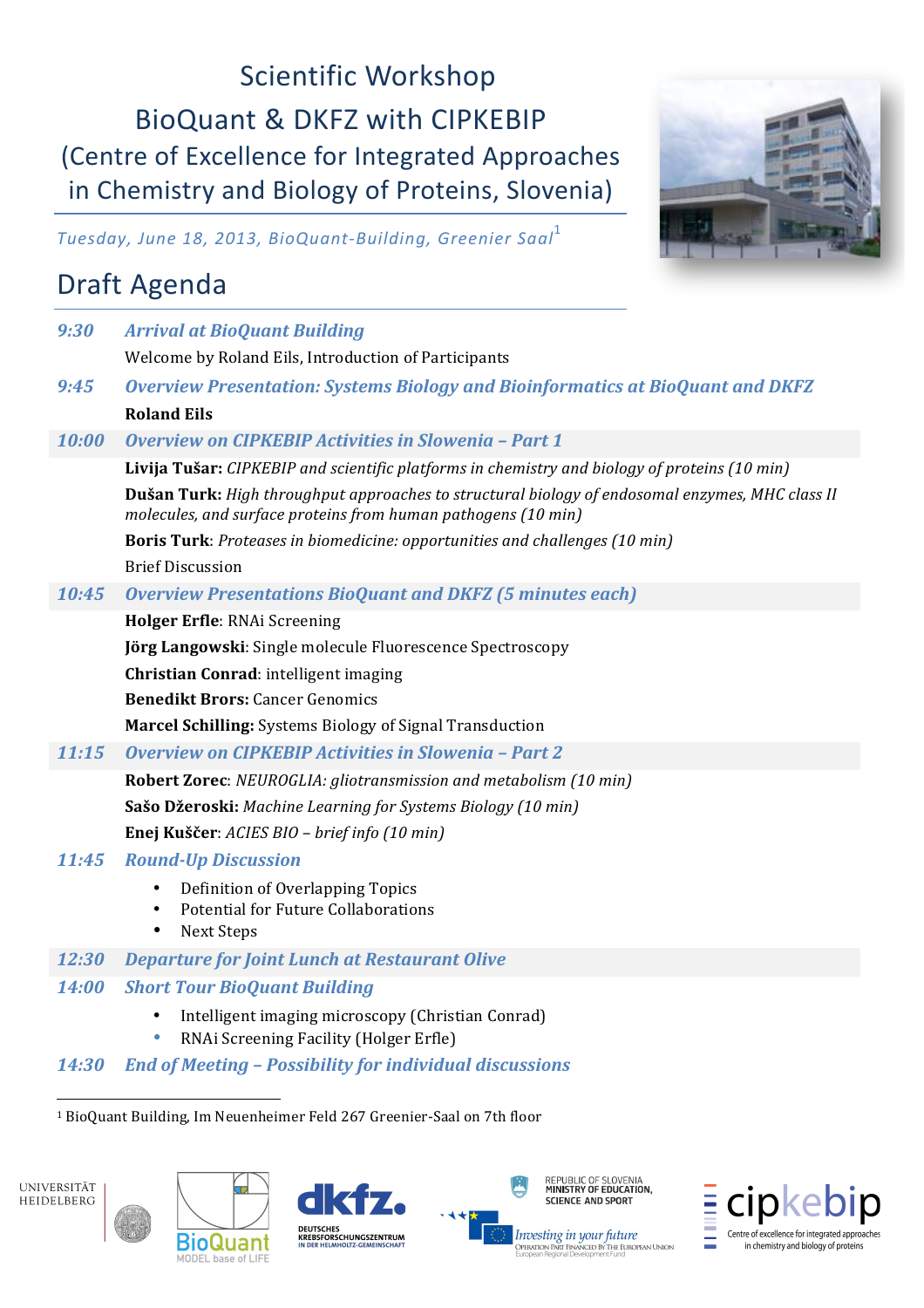# Scientific Workshop BioQuant & DKFZ with CIPKEBIP (Centre of Excellence for Integrated Approaches in Chemistry and Biology of Proteins, Slovenia)



*Tuesday, June 18, 2013, BioQuant-Building, Greenier Saal*<sup>1</sup>

# Draft Agenda

| 9:30         | <b>Arrival at BioQuant Building</b>                                                                                                                                     |
|--------------|-------------------------------------------------------------------------------------------------------------------------------------------------------------------------|
|              | Welcome by Roland Eils, Introduction of Participants                                                                                                                    |
| 9:45         | <b>Overview Presentation: Systems Biology and Bioinformatics at BioQuant and DKFZ</b>                                                                                   |
|              | <b>Roland Eils</b>                                                                                                                                                      |
| 10:00        | <b>Overview on CIPKEBIP Activities in Slowenia - Part 1</b>                                                                                                             |
|              | Livija Tušar: CIPKEBIP and scientific platforms in chemistry and biology of proteins (10 min)                                                                           |
|              | <b>Dušan Turk:</b> High throughput approaches to structural biology of endosomal enzymes, MHC class II<br>molecules, and surface proteins from human pathogens (10 min) |
|              | Boris Turk: Proteases in biomedicine: opportunities and challenges (10 min)                                                                                             |
|              | <b>Brief Discussion</b>                                                                                                                                                 |
| 10:45        | <b>Overview Presentations BioQuant and DKFZ (5 minutes each)</b>                                                                                                        |
|              | Holger Erfle: RNAi Screening                                                                                                                                            |
|              | Jörg Langowski: Single molecule Fluorescence Spectroscopy                                                                                                               |
|              | Christian Conrad: intelligent imaging                                                                                                                                   |
|              | <b>Benedikt Brors: Cancer Genomics</b>                                                                                                                                  |
|              | <b>Marcel Schilling:</b> Systems Biology of Signal Transduction                                                                                                         |
| 11:15        | <b>Overview on CIPKEBIP Activities in Slowenia - Part 2</b>                                                                                                             |
|              | <b>Robert Zorec:</b> NEUROGLIA: gliotransmission and metabolism (10 min)                                                                                                |
|              | Sašo Džeroski: Machine Learning for Systems Biology (10 min)                                                                                                            |
|              | Enej Kuščer: ACIES BIO - brief info (10 min)                                                                                                                            |
| 11:45        | <b>Round-Up Discussion</b>                                                                                                                                              |
|              | Definition of Overlapping Topics<br>$\bullet$<br>Potential for Future Collaborations<br>$\bullet$<br><b>Next Steps</b><br>٠                                             |
| 12:30        | <b>Departure for Joint Lunch at Restaurant Olive</b>                                                                                                                    |
| <b>14:00</b> | <b>Short Tour BioQuant Building</b>                                                                                                                                     |
|              | Intelligent imaging microscopy (Christian Conrad)<br>RNAi Screening Facility (Holger Erfle)                                                                             |
| 14:30        | <b>End of Meeting - Possibility for individual discussions</b>                                                                                                          |
|              | <sup>1</sup> BioQuant Building, Im Neuenheimer Feld 267 Greenier-Saal on 7th floor                                                                                      |









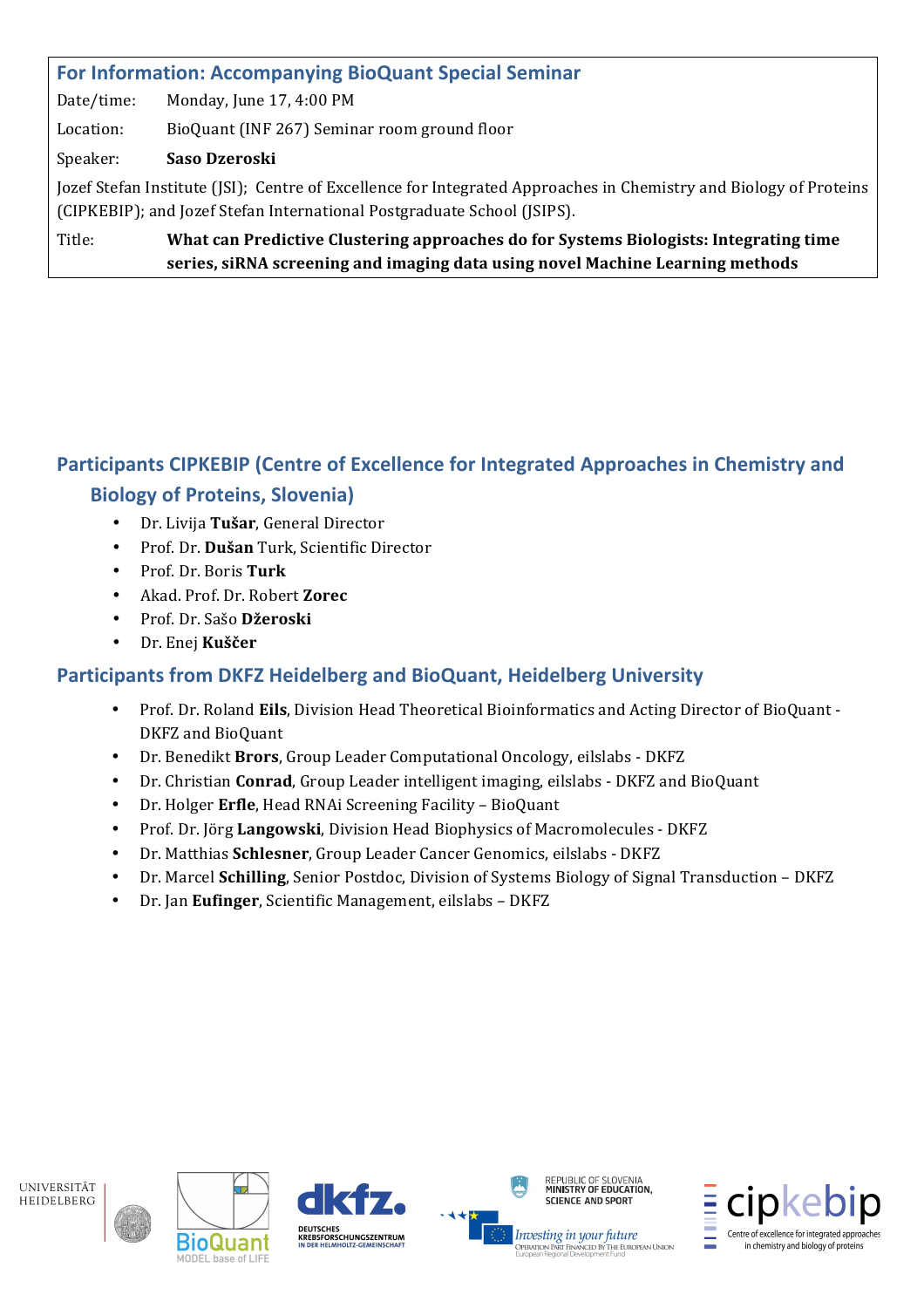# For Information: Accompanying BioQuant Special Seminar

Date/time: Monday, June 17, 4:00 PM

Location: BioQuant (INF 267) Seminar room ground floor

#### Speaker: Saso Dzeroski

Jozef Stefan Institute (JSI); Centre of Excellence for Integrated Approaches in Chemistry and Biology of Proteins (CIPKEBIP); and Jozef Stefan International Postgraduate School (JSIPS).

Title: What can Predictive Clustering approaches do for Systems Biologists: Integrating time series, siRNA screening and imaging data using novel Machine Learning methods

# Participants CIPKEBIP (Centre of Excellence for Integrated Approaches in Chemistry and **Biology of Proteins, Slovenia)**

- $\bullet$ Dr. Livija Tušar, General Director
- Prof. Dr. Dušan Turk, Scientific Director  $\bullet$
- Prof. Dr. Boris Turk
- Akad. Prof. Dr. Robert Zorec
- · Prof. Dr. Sašo Džeroski
- Dr. Enej Kuščer  $\bullet$

# **Participants from DKFZ Heidelberg and BioQuant, Heidelberg University**

- Prof. Dr. Roland Eils, Division Head Theoretical Bioinformatics and Acting Director of BioQuant -DKFZ and BioOuant
- Dr. Benedikt Brors, Group Leader Computational Oncology, eilslabs DKFZ
- Dr. Christian Conrad, Group Leader intelligent imaging, eilslabs DKFZ and BioQuant  $\bullet$
- Dr. Holger Erfle, Head RNAi Screening Facility BioQuant
- Prof. Dr. Jörg Langowski, Division Head Biophysics of Macromolecules DKFZ
- Dr. Matthias Schlesner, Group Leader Cancer Genomics, eilslabs DKFZ
- Dr. Marcel Schilling, Senior Postdoc, Division of Systems Biology of Signal Transduction DKFZ
- Dr. Jan Eufinger, Scientific Management, eilslabs DKFZ







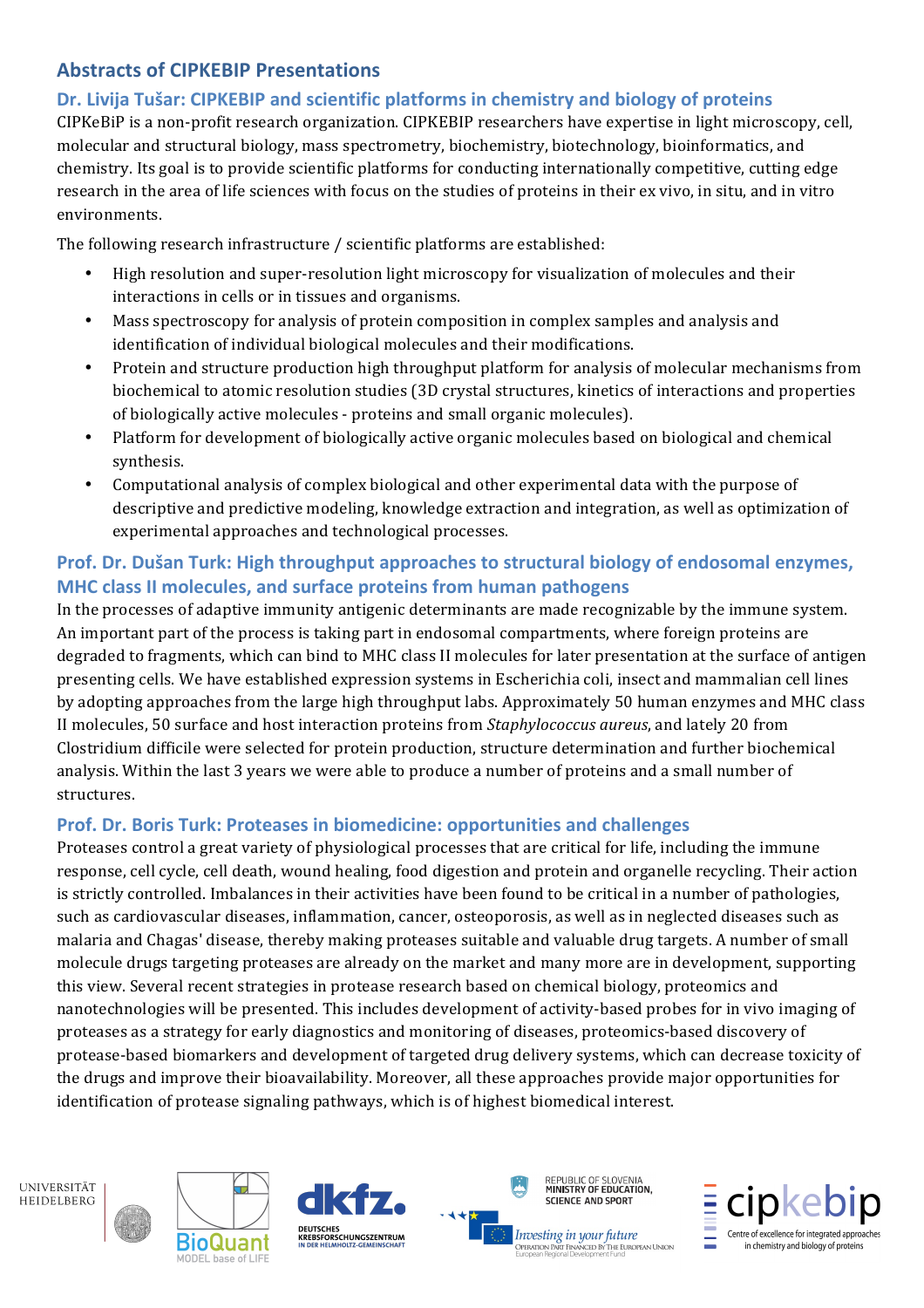# **Abstracts\$of CIPKEBIP Presentations**

### Dr. Livija Tušar: CIPKEBIP and scientific platforms in chemistry and biology of proteins

CIPKeBiP is a non-profit research organization. CIPKEBIP researchers have expertise in light microscopy, cell, molecular and structural biology, mass spectrometry, biochemistry, biotechnology, bioinformatics, and chemistry. Its goal is to provide scientific platforms for conducting internationally competitive, cutting edge research in the area of life sciences with focus on the studies of proteins in their ex vivo, in situ, and in vitro environments.

The following research infrastructure / scientific platforms are established:

- High resolution and super-resolution light microscopy for visualization of molecules and their interactions in cells or in tissues and organisms.
- Mass spectroscopy for analysis of protein composition in complex samples and analysis and identification of individual biological molecules and their modifications.
- Protein and structure production high throughput platform for analysis of molecular mechanisms from biochemical to atomic resolution studies (3D crystal structures, kinetics of interactions and properties of biologically active molecules - proteins and small organic molecules).
- Platform for development of biologically active organic molecules based on biological and chemical synthesis.
- Computational analysis of complex biological and other experimental data with the purpose of descriptive and predictive modeling, knowledge extraction and integration, as well as optimization of experimental approaches and technological processes.

### **Prof.** Dr. Dušan Turk: High throughput approaches to structural biology of endosomal enzymes, **MHC class II molecules, and surface proteins from human pathogens**

In the processes of adaptive immunity antigenic determinants are made recognizable by the immune system. An important part of the process is taking part in endosomal compartments, where foreign proteins are degraded to fragments, which can bind to MHC class II molecules for later presentation at the surface of antigen presenting cells. We have established expression systems in Escherichia coli, insect and mammalian cell lines by adopting approaches from the large high throughput labs. Approximately 50 human enzymes and MHC class II molecules, 50 surface and host interaction proteins from *Staphylococcus aureus*, and lately 20 from Clostridium difficile were selected for protein production, structure determination and further biochemical analysis. Within the last 3 years we were able to produce a number of proteins and a small number of structures.

#### **Prof. Dr. Boris Turk: Proteases in biomedicine: opportunities and challenges**

Proteases control a great variety of physiological processes that are critical for life, including the immune response, cell cycle, cell death, wound healing, food digestion and protein and organelle recycling. Their action is strictly controlled. Imbalances in their activities have been found to be critical in a number of pathologies, such as cardiovascular diseases, inflammation, cancer, osteoporosis, as well as in neglected diseases such as malaria and Chagas' disease, thereby making proteases suitable and valuable drug targets. A number of small molecule drugs targeting proteases are already on the market and many more are in development, supporting this view. Several recent strategies in protease research based on chemical biology, proteomics and nanotechnologies will be presented. This includes development of activity-based probes for in vivo imaging of proteases as a strategy for early diagnostics and monitoring of diseases, proteomics-based discovery of protease-based biomarkers and development of targeted drug delivery systems, which can decrease toxicity of the drugs and improve their bioavailability. Moreover, all these approaches provide major opportunities for identification of protease signaling pathways, which is of highest biomedical interest.